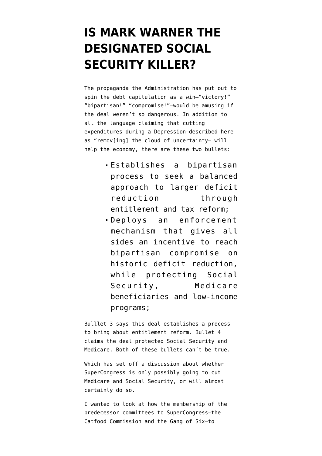## **[IS MARK WARNER THE](https://www.emptywheel.net/2011/08/01/is-mark-warner-the-designated-social-security-killer/) [DESIGNATED SOCIAL](https://www.emptywheel.net/2011/08/01/is-mark-warner-the-designated-social-security-killer/) [SECURITY KILLER?](https://www.emptywheel.net/2011/08/01/is-mark-warner-the-designated-social-security-killer/)**

The [propaganda](http://www.whitehouse.gov/fact-sheet-victory-bipartisan-compromise-economy-american-people) the Administration has put out to spin the debt capitulation as a win–"victory!" "bipartisan!" "compromise!"–would be amusing if the deal weren't so dangerous. In addition to all the language claiming that cutting expenditures during a Depression–described here as "remov[ing] the cloud of uncertainty– will help the economy, there are these two bullets:

- Establishes a bipartisan process to seek a balanced approach to larger deficit reduction through entitlement and tax reform;
- Deploys an enforcement mechanism that gives all sides an incentive to reach bipartisan compromise on historic deficit reduction, while protecting Social Security, Medicare beneficiaries and low-income programs;

Bulllet 3 says this deal establishes a process to bring about entitlement reform. Bullet 4 claims the deal protected Social Security and Medicare. Both of these bullets can't be true.

Which has set off a discussion about whether SuperCongress is only possibly going to cut Medicare and Social Security, or will almost certainly do so.

I wanted to look at how the membership of the predecessor committees to SuperCongress–the Catfood Commission and the Gang of Six–to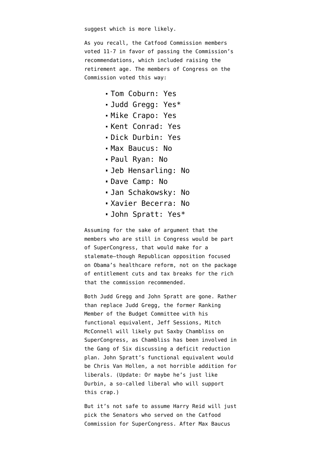suggest which is more likely.

As you recall, the [Catfood Commission members](http://www.fiscalcommission.gov/members) [voted](http://www.washingtonpost.com/wp-dyn/content/article/2010/12/02/AR2010120205913.html?sid=ST2010120206074) 11-7 in favor of passing the Commission's recommendations, which included raising the retirement age. The members of Congress on the Commission voted this way:

- Tom Coburn: Yes
- Judd Gregg: Yes\*
- Mike Crapo: Yes
- Kent Conrad: Yes
- Dick Durbin: Yes
- Max Baucus: No
- Paul Ryan: No
- Jeb Hensarling: No
- Dave Camp: No
- Jan Schakowsky: No
- Xavier Becerra: No
- John Spratt: Yes\*

Assuming for the sake of argument that the members who are still in Congress would be part of SuperCongress, that would make for a stalemate–though Republican opposition focused on Obama's healthcare reform, not on the package of entitlement cuts and tax breaks for the rich that the commission recommended.

Both Judd Gregg and John Spratt are gone. Rather than replace Judd Gregg, the former Ranking Member of the Budget Committee with his functional equivalent, Jeff Sessions, Mitch McConnell will likely put Saxby Chambliss on SuperCongress, as Chambliss has been involved in the Gang of Six discussing a deficit reduction plan. John Spratt's functional equivalent would be Chris Van Hollen, a not horrible addition for liberals. (Update: Or maybe he's just like Durbin, a so-called liberal who [will support](http://tpmdc.talkingpointsmemo.com/2011/04/obama-van-hollen-back-bowles-simpson-as-counterpoint-to-right-wing-gop-budget.php) this crap.)

But it's not safe to assume Harry Reid will just pick the Senators who served on the Catfood Commission for SuperCongress. After Max Baucus